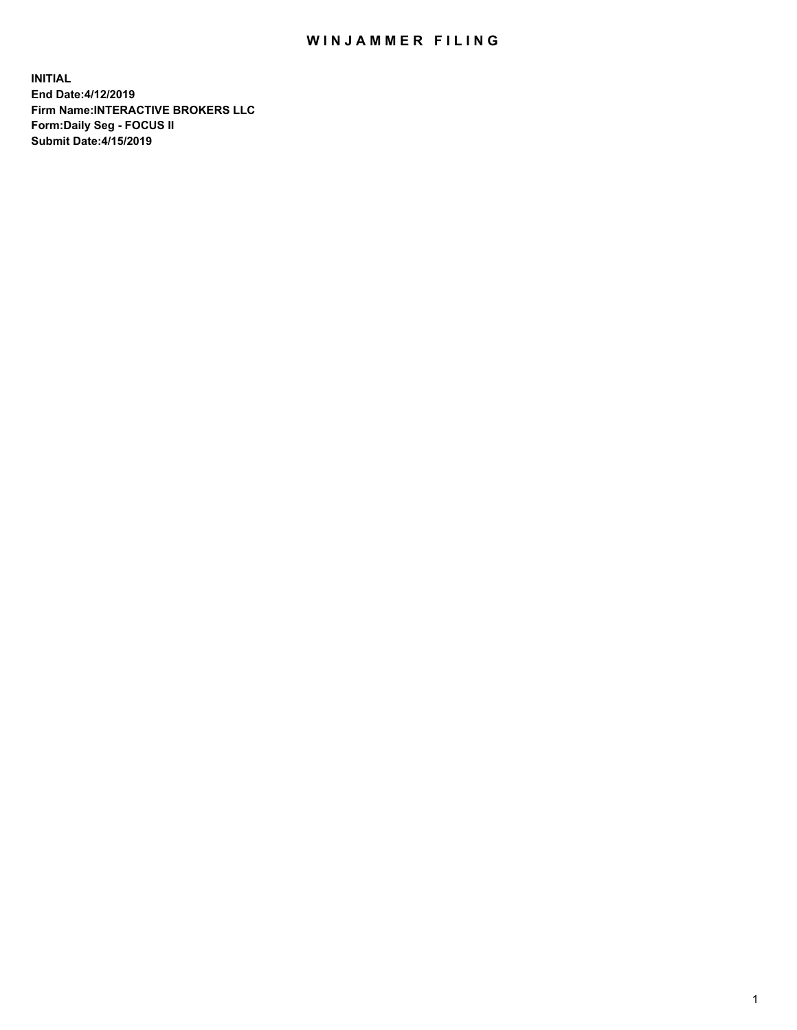## WIN JAMMER FILING

**INITIAL End Date:4/12/2019 Firm Name:INTERACTIVE BROKERS LLC Form:Daily Seg - FOCUS II Submit Date:4/15/2019**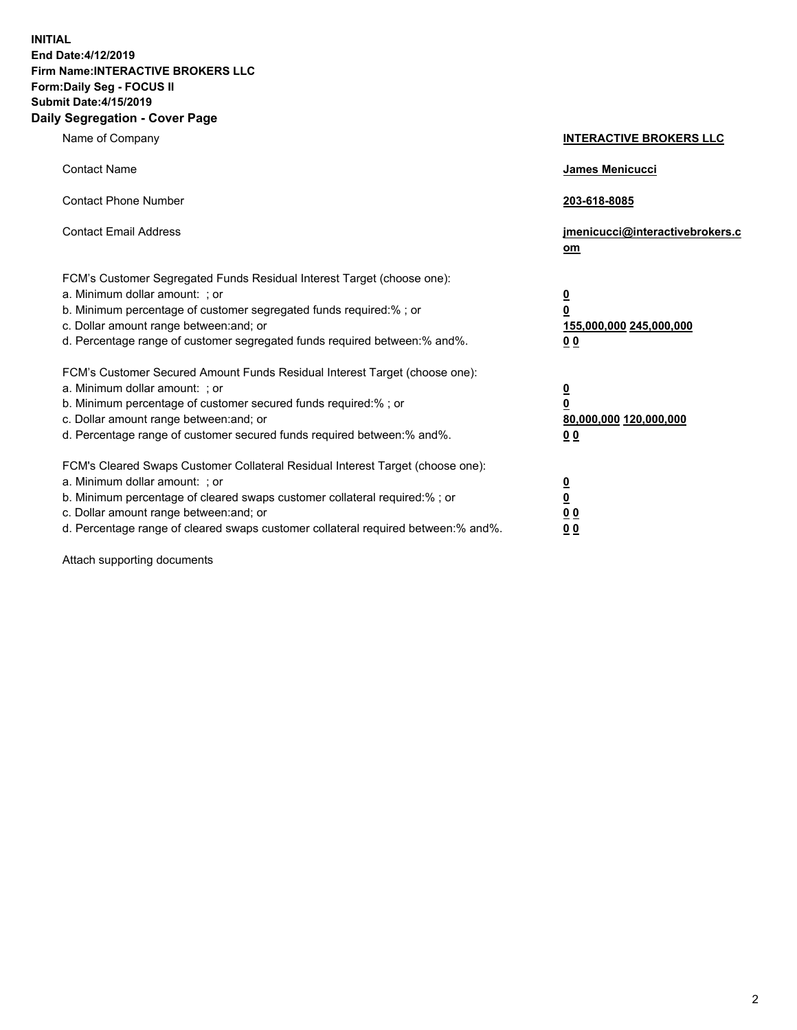**INITIAL End Date:4/12/2019 Firm Name:INTERACTIVE BROKERS LLC Form:Daily Seg - FOCUS II Submit Date:4/15/2019 Daily Segregation - Cover Page**

| Name of Company                                                                                                                                                                                                                                                                                                                | <b>INTERACTIVE BROKERS LLC</b>                                                                  |
|--------------------------------------------------------------------------------------------------------------------------------------------------------------------------------------------------------------------------------------------------------------------------------------------------------------------------------|-------------------------------------------------------------------------------------------------|
| <b>Contact Name</b>                                                                                                                                                                                                                                                                                                            | James Menicucci                                                                                 |
| <b>Contact Phone Number</b>                                                                                                                                                                                                                                                                                                    | 203-618-8085                                                                                    |
| <b>Contact Email Address</b>                                                                                                                                                                                                                                                                                                   | jmenicucci@interactivebrokers.c<br>om                                                           |
| FCM's Customer Segregated Funds Residual Interest Target (choose one):<br>a. Minimum dollar amount: ; or<br>b. Minimum percentage of customer segregated funds required:% ; or<br>c. Dollar amount range between: and; or<br>d. Percentage range of customer segregated funds required between:% and%.                         | $\overline{\mathbf{0}}$<br>$\overline{\mathbf{0}}$<br>155,000,000 245,000,000<br>0 <sub>0</sub> |
| FCM's Customer Secured Amount Funds Residual Interest Target (choose one):<br>a. Minimum dollar amount: ; or<br>b. Minimum percentage of customer secured funds required:%; or<br>c. Dollar amount range between: and; or<br>d. Percentage range of customer secured funds required between:% and%.                            | $\overline{\mathbf{0}}$<br>$\overline{\mathbf{0}}$<br>80,000,000 120,000,000<br>00              |
| FCM's Cleared Swaps Customer Collateral Residual Interest Target (choose one):<br>a. Minimum dollar amount: ; or<br>b. Minimum percentage of cleared swaps customer collateral required:% ; or<br>c. Dollar amount range between: and; or<br>d. Percentage range of cleared swaps customer collateral required between:% and%. | $\overline{\mathbf{0}}$<br>$\underline{\mathbf{0}}$<br>0 <sub>0</sub><br>0 <sub>0</sub>         |

Attach supporting documents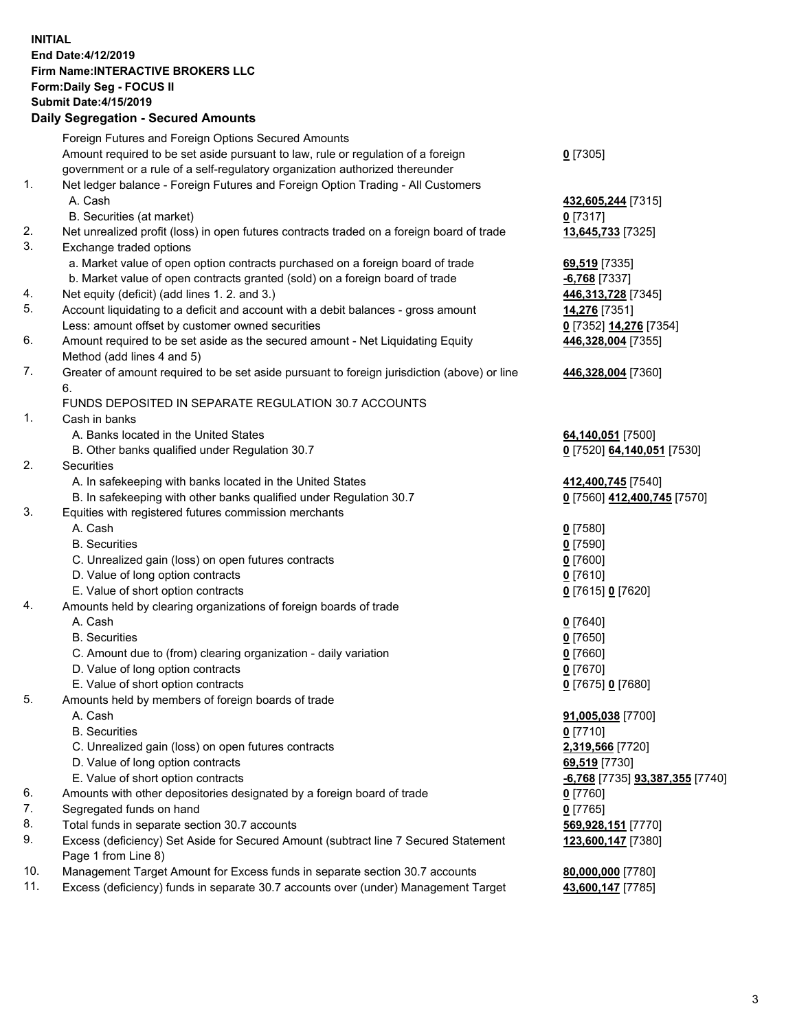## **INITIAL End Date:4/12/2019 Firm Name:INTERACTIVE BROKERS LLC Form:Daily Seg - FOCUS II Submit Date:4/15/2019**

|     | <b>Daily Segregation - Secured Amounts</b>                                                  |                                              |
|-----|---------------------------------------------------------------------------------------------|----------------------------------------------|
|     | Foreign Futures and Foreign Options Secured Amounts                                         |                                              |
|     | Amount required to be set aside pursuant to law, rule or regulation of a foreign            | $0$ [7305]                                   |
|     | government or a rule of a self-regulatory organization authorized thereunder                |                                              |
| 1.  | Net ledger balance - Foreign Futures and Foreign Option Trading - All Customers             |                                              |
|     | A. Cash                                                                                     | 432,605,244 [7315]                           |
|     | B. Securities (at market)                                                                   | $0$ [7317]                                   |
| 2.  | Net unrealized profit (loss) in open futures contracts traded on a foreign board of trade   | 13,645,733 [7325]                            |
| 3.  | Exchange traded options                                                                     |                                              |
|     | a. Market value of open option contracts purchased on a foreign board of trade              | 69,519 [7335]                                |
|     | b. Market value of open contracts granted (sold) on a foreign board of trade                | $-6,768$ [7337]                              |
| 4.  | Net equity (deficit) (add lines 1.2. and 3.)                                                | 446,313,728 [7345]                           |
| 5.  | Account liquidating to a deficit and account with a debit balances - gross amount           | 14,276 [7351]                                |
|     | Less: amount offset by customer owned securities                                            | 0 <sup>[7352]</sup> 14,276 <sup>[7354]</sup> |
| 6.  | Amount required to be set aside as the secured amount - Net Liquidating Equity              | 446,328,004 [7355]                           |
|     | Method (add lines 4 and 5)                                                                  |                                              |
| 7.  | Greater of amount required to be set aside pursuant to foreign jurisdiction (above) or line | 446,328,004 [7360]                           |
|     | 6.                                                                                          |                                              |
|     | FUNDS DEPOSITED IN SEPARATE REGULATION 30.7 ACCOUNTS                                        |                                              |
| 1.  | Cash in banks                                                                               |                                              |
|     | A. Banks located in the United States                                                       | 64,140,051 [7500]                            |
|     | B. Other banks qualified under Regulation 30.7                                              | 0 [7520] 64,140,051 [7530]                   |
| 2.  | Securities                                                                                  |                                              |
|     | A. In safekeeping with banks located in the United States                                   | 412,400,745 [7540]                           |
|     | B. In safekeeping with other banks qualified under Regulation 30.7                          | 0 [7560] 412,400,745 [7570]                  |
| 3.  | Equities with registered futures commission merchants                                       |                                              |
|     | A. Cash                                                                                     | $0$ [7580]                                   |
|     | <b>B.</b> Securities                                                                        | $0$ [7590]                                   |
|     | C. Unrealized gain (loss) on open futures contracts                                         | $0$ [7600]                                   |
|     | D. Value of long option contracts                                                           | $0$ [7610]                                   |
|     | E. Value of short option contracts                                                          | 0 [7615] 0 [7620]                            |
| 4.  | Amounts held by clearing organizations of foreign boards of trade                           |                                              |
|     | A. Cash                                                                                     | $0$ [7640]                                   |
|     | <b>B.</b> Securities                                                                        | $0$ [7650]                                   |
|     | C. Amount due to (from) clearing organization - daily variation                             | $0$ [7660]                                   |
|     | D. Value of long option contracts                                                           | $0$ [7670]                                   |
|     | E. Value of short option contracts                                                          | 0 [7675] 0 [7680]                            |
| 5.  | Amounts held by members of foreign boards of trade                                          |                                              |
|     | A. Cash                                                                                     | 91,005,038 [7700]                            |
|     | <b>B.</b> Securities                                                                        | $0$ [7710]                                   |
|     | C. Unrealized gain (loss) on open futures contracts                                         | 2,319,566 [7720]                             |
|     | D. Value of long option contracts                                                           | 69,519 [7730]                                |
|     | E. Value of short option contracts                                                          | -6,768 [7735] 93,387,355 [7740]              |
| 6.  | Amounts with other depositories designated by a foreign board of trade                      | $0$ [7760]                                   |
| 7.  | Segregated funds on hand                                                                    | $0$ [7765]                                   |
| 8.  | Total funds in separate section 30.7 accounts                                               | 569,928,151 [7770]                           |
| 9.  | Excess (deficiency) Set Aside for Secured Amount (subtract line 7 Secured Statement         | 123,600,147 [7380]                           |
|     | Page 1 from Line 8)                                                                         |                                              |
| 10. | Management Target Amount for Excess funds in separate section 30.7 accounts                 | 80,000,000 [7780]                            |
| 11. | Excess (deficiency) funds in separate 30.7 accounts over (under) Management Target          | 43,600,147 [7785]                            |
|     |                                                                                             |                                              |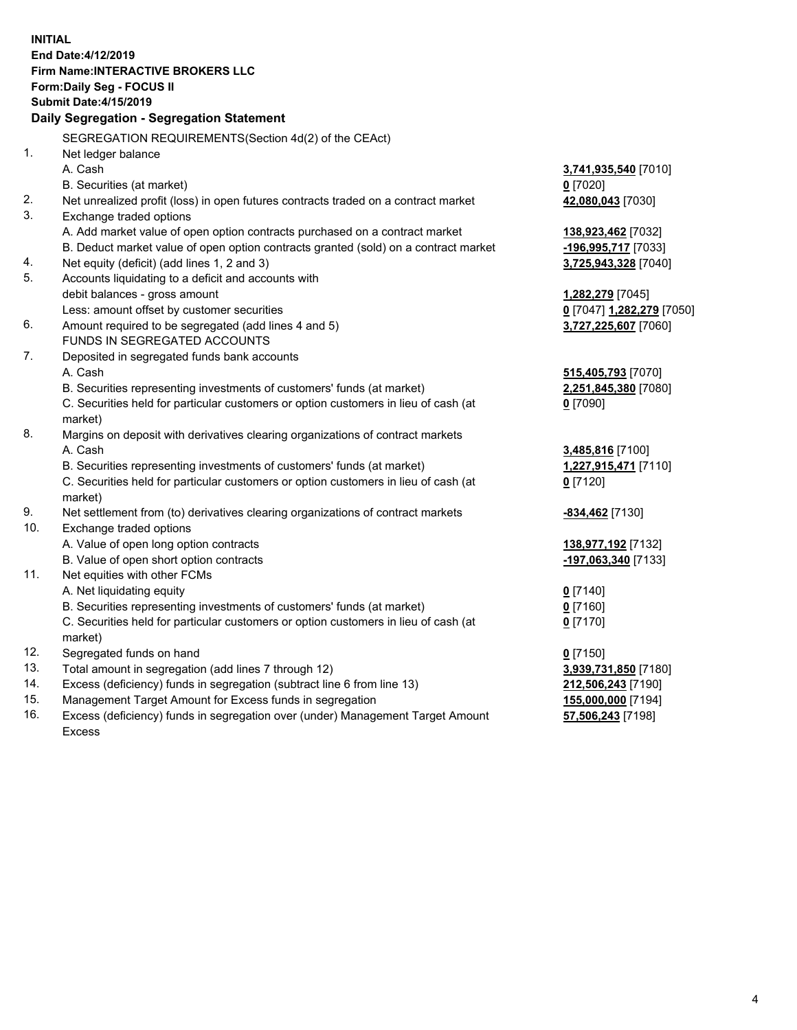**INITIAL End Date:4/12/2019 Firm Name:INTERACTIVE BROKERS LLC Form:Daily Seg - FOCUS II Submit Date:4/15/2019 Daily Segregation - Segregation Statement** SEGREGATION REQUIREMENTS(Section 4d(2) of the CEAct) 1. Net ledger balance A. Cash **3,741,935,540** [7010] B. Securities (at market) **0** [7020] 2. Net unrealized profit (loss) in open futures contracts traded on a contract market **42,080,043** [7030] 3. Exchange traded options A. Add market value of open option contracts purchased on a contract market **138,923,462** [7032] B. Deduct market value of open option contracts granted (sold) on a contract market **-196,995,717** [7033] 4. Net equity (deficit) (add lines 1, 2 and 3) **3,725,943,328** [7040] 5. Accounts liquidating to a deficit and accounts with debit balances - gross amount **1,282,279** [7045] Less: amount offset by customer securities **0** [7047] **1,282,279** [7050] 6. Amount required to be segregated (add lines 4 and 5) **3,727,225,607** [7060] FUNDS IN SEGREGATED ACCOUNTS 7. Deposited in segregated funds bank accounts A. Cash **515,405,793** [7070] B. Securities representing investments of customers' funds (at market) **2,251,845,380** [7080] C. Securities held for particular customers or option customers in lieu of cash (at market) **0** [7090] 8. Margins on deposit with derivatives clearing organizations of contract markets A. Cash **3,485,816** [7100] B. Securities representing investments of customers' funds (at market) **1,227,915,471** [7110] C. Securities held for particular customers or option customers in lieu of cash (at market) **0** [7120] 9. Net settlement from (to) derivatives clearing organizations of contract markets **-834,462** [7130] 10. Exchange traded options A. Value of open long option contracts **138,977,192** [7132] B. Value of open short option contracts **-197,063,340** [7133] 11. Net equities with other FCMs A. Net liquidating equity **0** [7140] B. Securities representing investments of customers' funds (at market) **0** [7160] C. Securities held for particular customers or option customers in lieu of cash (at market) **0** [7170] 12. Segregated funds on hand **0** [7150] 13. Total amount in segregation (add lines 7 through 12) **3,939,731,850** [7180] 14. Excess (deficiency) funds in segregation (subtract line 6 from line 13) **212,506,243** [7190] 15. Management Target Amount for Excess funds in segregation **155,000,000** [7194]

16. Excess (deficiency) funds in segregation over (under) Management Target Amount Excess

**57,506,243** [7198]